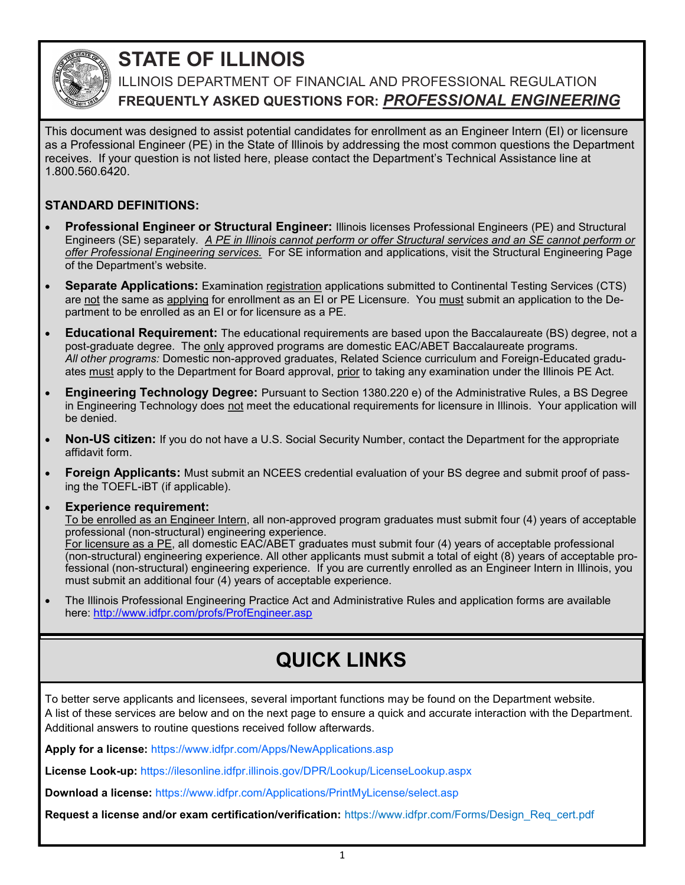

# **STATE OF ILLINOIS**

ILLINOIS DEPARTMENT OF FINANCIAL AND PROFESSIONAL REGULATION **FREQUENTLY ASKED QUESTIONS FOR:** *PROFESSIONAL ENGINEERING*

This document was designed to assist potential candidates for enrollment as an Engineer Intern (EI) or licensure as a Professional Engineer (PE) in the State of Illinois by addressing the most common questions the Department receives. If your question is not listed here, please contact the Department's Technical Assistance line at 1.800.560.6420.

### **STANDARD DEFINITIONS:**

- **Professional Engineer or Structural Engineer:** Illinois licenses Professional Engineers (PE) and Structural Engineers (SE) separately. *A PE in Illinois cannot perform or offer Structural services and an SE cannot perform or offer Professional Engineering services.* For SE information and applications, visit the Structural Engineering Page of the Department's website.
- **Separate Applications:** Examination registration applications submitted to Continental Testing Services (CTS) are not the same as applying for enrollment as an EI or PE Licensure. You must submit an application to the Department to be enrolled as an EI or for licensure as a PE.
- **Educational Requirement:** The educational requirements are based upon the Baccalaureate (BS) degree, not a post-graduate degree. The only approved programs are domestic EAC/ABET Baccalaureate programs. *All other programs:* Domestic non-approved graduates, Related Science curriculum and Foreign-Educated graduates must apply to the Department for Board approval, prior to taking any examination under the Illinois PE Act.
- **Engineering Technology Degree:** Pursuant to Section 1380.220 e) of the Administrative Rules, a BS Degree in Engineering Technology does not meet the educational requirements for licensure in Illinois. Your application will be denied.
- **Non-US citizen:** If you do not have a U.S. Social Security Number, contact the Department for the appropriate affidavit form.
- **Foreign Applicants:** Must submit an NCEES credential evaluation of your BS degree and submit proof of passing the TOEFL-iBT (if applicable).
- **Experience requirement:**

To be enrolled as an Engineer Intern, all non-approved program graduates must submit four (4) years of acceptable professional (non-structural) engineering experience.

For licensure as a PE, all domestic EAC/ABET graduates must submit four (4) years of acceptable professional (non-structural) engineering experience. All other applicants must submit a total of eight (8) years of acceptable professional (non-structural) engineering experience. If you are currently enrolled as an Engineer Intern in Illinois, you must submit an additional four (4) years of acceptable experience.

• The Illinois Professional Engineering Practice Act and Administrative Rules and application forms are available here: http://www.idfpr.com/profs/ProfEngineer.asp

# **QUICK LINKS**

To better serve applicants and licensees, several important functions may be found on the Department website. A list of these services are below and on the next page to ensure a quick and accurate interaction with the Department. Additional answers to routine questions received follow afterwards.

**Apply for a license:** https://www.idfpr.com/Apps/NewApplications.asp

**License Look-up:** https://ilesonline.idfpr.illinois.gov/DPR/Lookup/LicenseLookup.aspx

**Download a license:** https://www.idfpr.com/Applications/PrintMyLicense/select.asp

**Request a license and/or exam certification/verification:** https://www.idfpr.com/Forms/Design\_Req\_cert.pdf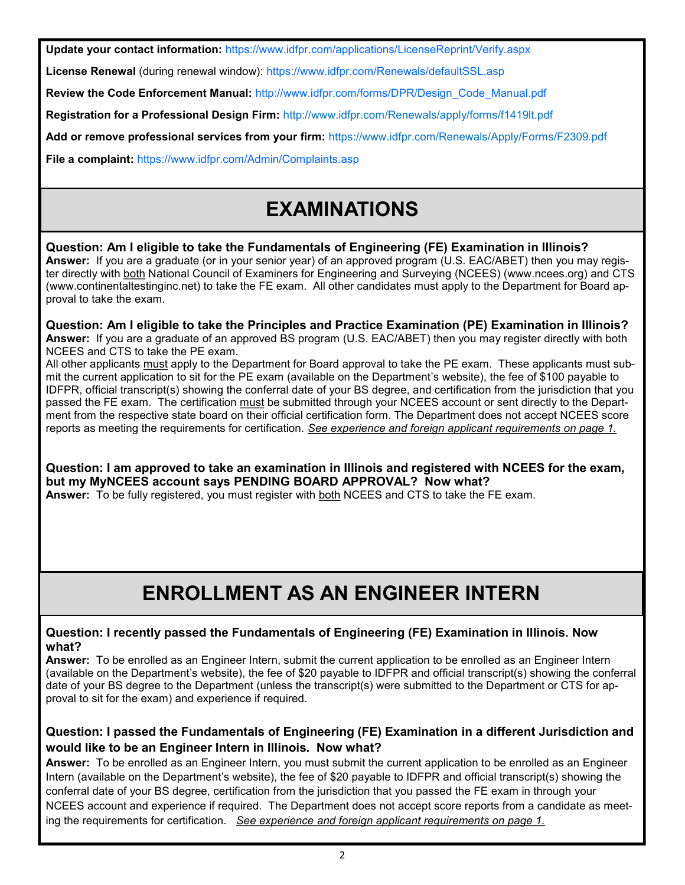**Update your contact information:** https://www.idfpr.com/applications/LicenseReprint/Verify.aspx

**License Renewal** (during renewal window): https://www.idfpr.com/Renewals/defaultSSL.asp

**Review the Code Enforcement Manual:** http://www.idfpr.com/forms/DPR/Design\_Code\_Manual.pdf

**Registration for a Professional Design Firm:** <http://www.idfpr.com/Renewals/apply/forms/f1419lt.pdf>

**Add or remove professional services from your firm:** https://www.idfpr.com/Renewals/Apply/Forms/F2309.pdf

**File a complaint:** https://www.idfpr.com/Admin/Complaints.asp

# **EXAMINATIONS**

### **Question: Am I eligible to take the Fundamentals of Engineering (FE) Examination in Illinois?**

**Answer:** If you are a graduate (or in your senior year) of an approved program (U.S. EAC/ABET) then you may register directly with both National Council of Examiners for Engineering and Surveying (NCEES) (www.ncees.org) and CTS (www.continentaltestinginc.net) to take the FE exam. All other candidates must apply to the Department for Board approval to take the exam.

#### **Question: Am I eligible to take the Principles and Practice Examination (PE) Examination in Illinois? Answer:** If you are a graduate of an approved BS program (U.S. EAC/ABET) then you may register directly with both NCEES and CTS to take the PE exam.

All other applicants must apply to the Department for Board approval to take the PE exam. These applicants must submit the current application to sit for the PE exam (available on the Department's website), the fee of \$100 payable to IDFPR, official transcript(s) showing the conferral date of your BS degree, and certification from the jurisdiction that you passed the FE exam. The certification must be submitted through your NCEES account or sent directly to the Department from the respective state board on their official certification form. The Department does not accept NCEES score reports as meeting the requirements for certification. *See experience and foreign applicant requirements on page 1.*

**Question: I am approved to take an examination in Illinois and registered with NCEES for the exam, but my MyNCEES account says PENDING BOARD APPROVAL? Now what?**

**Answer:** To be fully registered, you must register with both NCEES and CTS to take the FE exam.

# **ENROLLMENT AS AN ENGINEER INTERN**

### **Question: I recently passed the Fundamentals of Engineering (FE) Examination in Illinois. Now what?**

**Answer:** To be enrolled as an Engineer Intern, submit the current application to be enrolled as an Engineer Intern (available on the Department's website), the fee of \$20 payable to IDFPR and official transcript(s) showing the conferral date of your BS degree to the Department (unless the transcript(s) were submitted to the Department or CTS for approval to sit for the exam) and experience if required.

### **Question: I passed the Fundamentals of Engineering (FE) Examination in a different Jurisdiction and would like to be an Engineer Intern in Illinois. Now what?**

**Answer:** To be enrolled as an Engineer Intern, you must submit the current application to be enrolled as an Engineer Intern (available on the Department's website), the fee of \$20 payable to IDFPR and official transcript(s) showing the conferral date of your BS degree, certification from the jurisdiction that you passed the FE exam in through your NCEES account and experience if required. The Department does not accept score reports from a candidate as meeting the requirements for certification. *See experience and foreign applicant requirements on page 1.*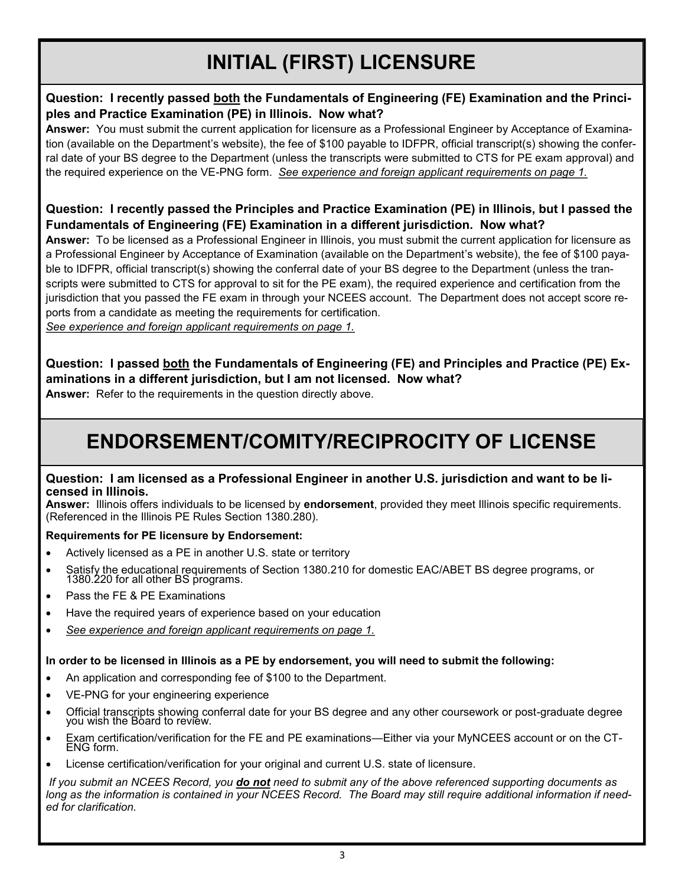# **INITIAL (FIRST) LICENSURE**

### **Question: I recently passed both the Fundamentals of Engineering (FE) Examination and the Principles and Practice Examination (PE) in Illinois. Now what?**

**Answer:** You must submit the current application for licensure as a Professional Engineer by Acceptance of Examination (available on the Department's website), the fee of \$100 payable to IDFPR, official transcript(s) showing the conferral date of your BS degree to the Department (unless the transcripts were submitted to CTS for PE exam approval) and the required experience on the VE-PNG form. *See experience and foreign applicant requirements on page 1.*

### **Question: I recently passed the Principles and Practice Examination (PE) in Illinois, but I passed the Fundamentals of Engineering (FE) Examination in a different jurisdiction. Now what?**

**Answer:** To be licensed as a Professional Engineer in Illinois, you must submit the current application for licensure as a Professional Engineer by Acceptance of Examination (available on the Department's website), the fee of \$100 payable to IDFPR, official transcript(s) showing the conferral date of your BS degree to the Department (unless the transcripts were submitted to CTS for approval to sit for the PE exam), the required experience and certification from the jurisdiction that you passed the FE exam in through your NCEES account. The Department does not accept score reports from a candidate as meeting the requirements for certification.

*See experience and foreign applicant requirements on page 1.*

## **Question: I passed both the Fundamentals of Engineering (FE) and Principles and Practice (PE) Examinations in a different jurisdiction, but I am not licensed. Now what?**

**Answer:** Refer to the requirements in the question directly above.

## **ENDORSEMENT/COMITY/RECIPROCITY OF LICENSE**

#### **Question: I am licensed as a Professional Engineer in another U.S. jurisdiction and want to be licensed in Illinois.**

**Answer:** Illinois offers individuals to be licensed by **endorsement**, provided they meet Illinois specific requirements. (Referenced in the Illinois PE Rules Section 1380.280).

### **Requirements for PE licensure by Endorsement:**

- Actively licensed as a PE in another U.S. state or territory
- Satisfy the educational requirements of Section 1380.210 for domestic EAC/ABET BS degree programs, or 1380.220 for all other BS programs.
- Pass the FE & PE Examinations
- Have the required years of experience based on your education
- *See experience and foreign applicant requirements on page 1.*

### **In order to be licensed in Illinois as a PE by endorsement, you will need to submit the following:**

- An application and corresponding fee of \$100 to the Department.
- VE-PNG for your engineering experience
- Official transcripts showing conferral date for your BS degree and any other coursework or post-graduate degree you wish the Board to review.
- Exam certification/verification for the FE and PE examinations—Either via your MyNCEES account or on the CT-ENG form.
- License certification/verification for your original and current U.S. state of licensure.

*If you submit an NCEES Record, you do not need to submit any of the above referenced supporting documents as long as the information is contained in your NCEES Record. The Board may still require additional information if needed for clarification.*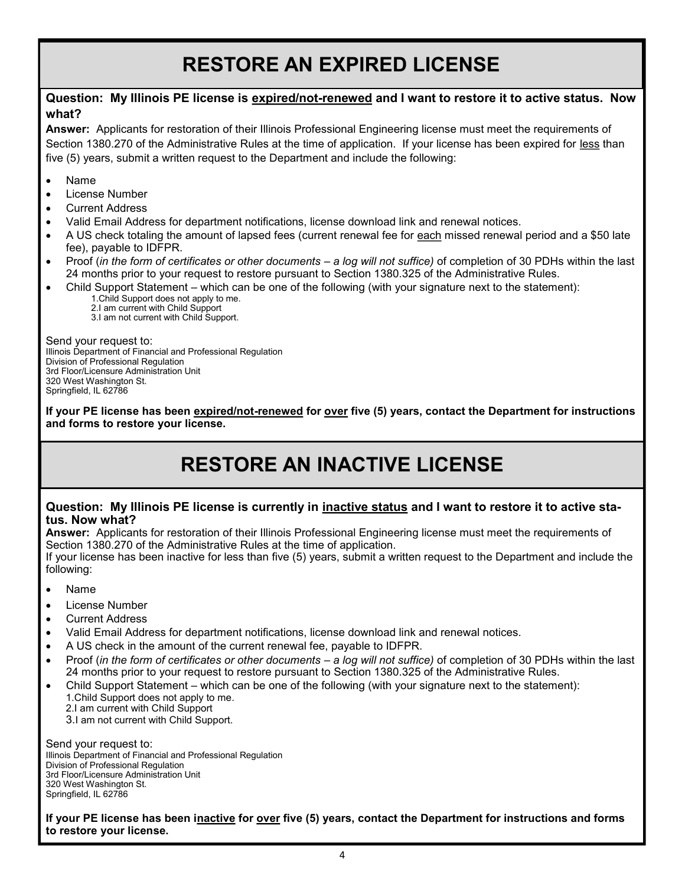# **RESTORE AN EXPIRED LICENSE**

#### **Question: My Illinois PE license is expired/not-renewed and I want to restore it to active status. Now what?**

**Answer:** Applicants for restoration of their Illinois Professional Engineering license must meet the requirements of Section 1380.270 of the Administrative Rules at the time of application. If your license has been expired for less than five (5) years, submit a written request to the Department and include the following:

- Name
- License Number
- Current Address
- Valid Email Address for department notifications, license download link and renewal notices.
- A US check totaling the amount of lapsed fees (current renewal fee for each missed renewal period and a \$50 late fee), payable to IDFPR.
- Proof (*in the form of certificates or other documents – a log will not suffice)* of completion of 30 PDHs within the last 24 months prior to your request to restore pursuant to Section 1380.325 of the Administrative Rules.
	- Child Support Statement which can be one of the following (with your signature next to the statement): 1.Child Support does not apply to me.
		- 2.I am current with Child Support

3.I am not current with Child Support.

Send your request to: Illinois Department of Financial and Professional Regulation Division of Professional Regulation 3rd Floor/Licensure Administration Unit 320 West Washington St. Springfield, IL 62786

**If your PE license has been expired/not-renewed for over five (5) years, contact the Department for instructions and forms to restore your license.** 

## **RESTORE AN INACTIVE LICENSE**

#### **Question: My Illinois PE license is currently in inactive status and I want to restore it to active status. Now what?**

**Answer:** Applicants for restoration of their Illinois Professional Engineering license must meet the requirements of Section 1380.270 of the Administrative Rules at the time of application.

If your license has been inactive for less than five (5) years, submit a written request to the Department and include the following:

- Name
- License Number
- Current Address
- Valid Email Address for department notifications, license download link and renewal notices.
- A US check in the amount of the current renewal fee, payable to IDFPR.
- Proof (*in the form of certificates or other documents – a log will not suffice)* of completion of 30 PDHs within the last 24 months prior to your request to restore pursuant to Section 1380.325 of the Administrative Rules.
- Child Support Statement which can be one of the following (with your signature next to the statement): 1.Child Support does not apply to me.
	- 2.I am current with Child Support
	- 3.I am not current with Child Support.

Send your request to: Illinois Department of Financial and Professional Regulation Division of Professional Regulation 3rd Floor/Licensure Administration Unit 320 West Washington St. Springfield, IL 62786

**If your PE license has been inactive for over five (5) years, contact the Department for instructions and forms to restore your license.**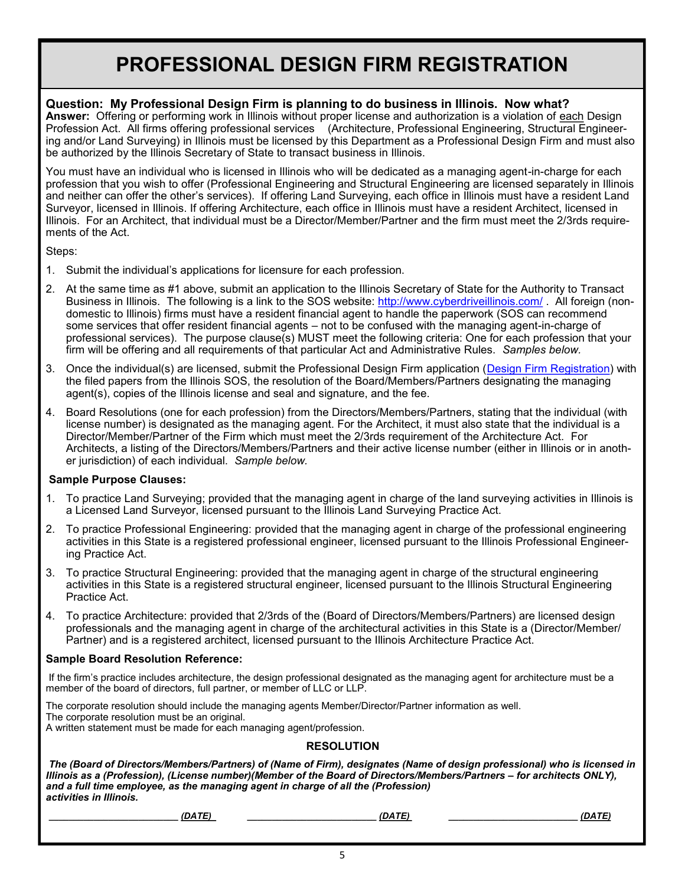## **PROFESSIONAL DESIGN FIRM REGISTRATION**

### **Question: My Professional Design Firm is planning to do business in Illinois. Now what?**

**Answer:** Offering or performing work in Illinois without proper license and authorization is a violation of each Design Profession Act. All firms offering professional services (Architecture, Professional Engineering, Structural Engineering and/or Land Surveying) in Illinois must be licensed by this Department as a Professional Design Firm and must also be authorized by the Illinois Secretary of State to transact business in Illinois.

You must have an individual who is licensed in Illinois who will be dedicated as a managing agent-in-charge for each profession that you wish to offer (Professional Engineering and Structural Engineering are licensed separately in Illinois and neither can offer the other's services). If offering Land Surveying, each office in Illinois must have a resident Land Surveyor, licensed in Illinois. If offering Architecture, each office in Illinois must have a resident Architect, licensed in Illinois. For an Architect, that individual must be a Director/Member/Partner and the firm must meet the 2/3rds requirements of the Act.

Steps:

- 1. Submit the individual's applications for licensure for each profession.
- 2. At the same time as #1 above, submit an application to the Illinois Secretary of State for the Authority to Transact Business in Illinois. The following is a link to the SOS website: <http://www.cyberdriveillinois.com/>. All foreign (nondomestic to Illinois) firms must have a resident financial agent to handle the paperwork (SOS can recommend some services that offer resident financial agents – not to be confused with the managing agent-in-charge of professional services). The purpose clause(s) MUST meet the following criteria: One for each profession that your firm will be offering and all requirements of that particular Act and Administrative Rules. *Samples below.*
- 3. Once the individual(s) are licensed, submit the Professional Design Firm application ([Design Firm Registration\)](http://www.idfpr.com/Renewals/apply/forms/f1419lt.pdf) with the filed papers from the Illinois SOS, the resolution of the Board/Members/Partners designating the managing agent(s), copies of the Illinois license and seal and signature, and the fee.
- 4. Board Resolutions (one for each profession) from the Directors/Members/Partners, stating that the individual (with license number) is designated as the managing agent. For the Architect, it must also state that the individual is a Director/Member/Partner of the Firm which must meet the 2/3rds requirement of the Architecture Act. For Architects, a listing of the Directors/Members/Partners and their active license number (either in Illinois or in another jurisdiction) of each individual. *Sample below.*

#### **Sample Purpose Clauses:**

- 1. To practice Land Surveying; provided that the managing agent in charge of the land surveying activities in Illinois is a Licensed Land Surveyor, licensed pursuant to the Illinois Land Surveying Practice Act.
- 2. To practice Professional Engineering: provided that the managing agent in charge of the professional engineering activities in this State is a registered professional engineer, licensed pursuant to the Illinois Professional Engineering Practice Act.
- 3. To practice Structural Engineering: provided that the managing agent in charge of the structural engineering activities in this State is a registered structural engineer, licensed pursuant to the Illinois Structural Engineering Practice Act.
- 4. To practice Architecture: provided that 2/3rds of the (Board of Directors/Members/Partners) are licensed design professionals and the managing agent in charge of the architectural activities in this State is a (Director/Member/ Partner) and is a registered architect, licensed pursuant to the Illinois Architecture Practice Act.

#### **Sample Board Resolution Reference:**

If the firm's practice includes architecture, the design professional designated as the managing agent for architecture must be a member of the board of directors, full partner, or member of LLC or LLP.

The corporate resolution should include the managing agents Member/Director/Partner information as well. The corporate resolution must be an original. A written statement must be made for each managing agent/profession.

#### **RESOLUTION**

*The (Board of Directors/Members/Partners) of (Name of Firm), designates (Name of design professional) who is licensed in Illinois as a (Profession), (License number)(Member of the Board of Directors/Members/Partners – for architects ONLY), and a full time employee, as the managing agent in charge of all the (Profession) activities in Illinois.*

*\_\_\_\_\_\_\_\_\_\_\_\_\_\_\_\_\_\_\_\_\_\_\_\_\_\_ (DATE) \_\_\_\_\_\_\_\_\_\_\_\_\_\_\_\_\_\_\_\_\_\_\_\_\_\_ (DATE) \_\_\_\_\_\_\_\_\_\_\_\_\_\_\_\_\_\_\_\_\_\_\_\_\_\_ (DATE)*